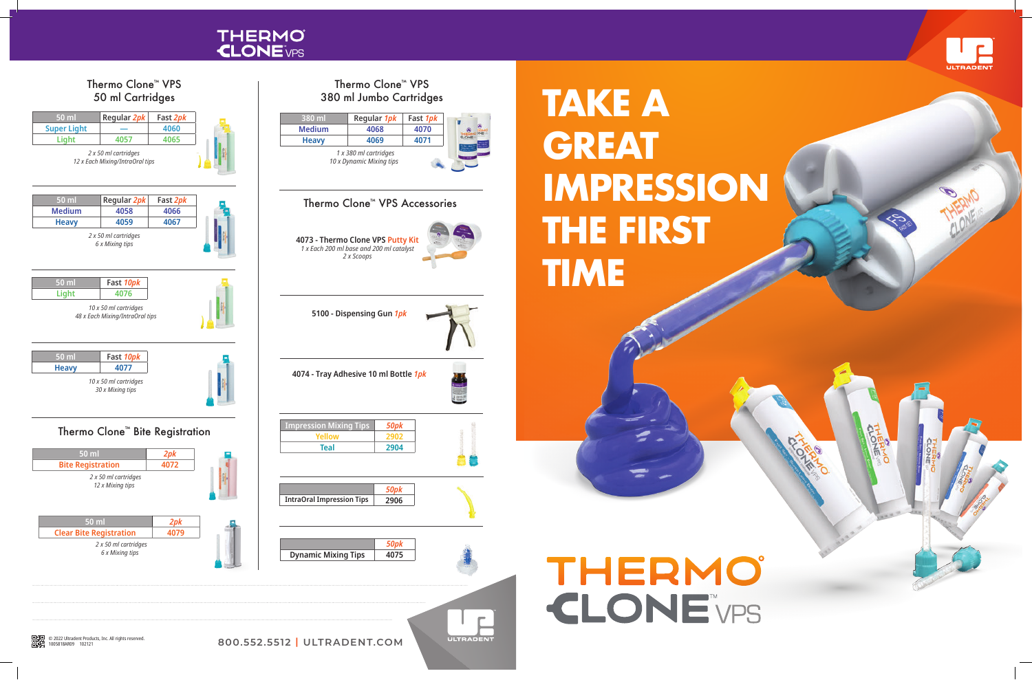



## **TAKE A GREAT IMPRESSION THE FIRST TIME**